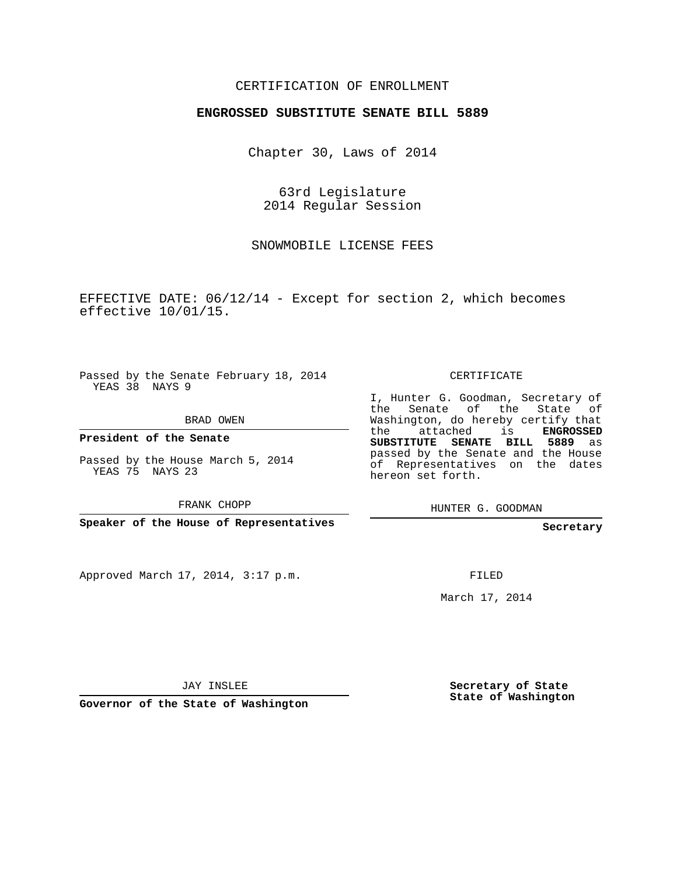## CERTIFICATION OF ENROLLMENT

## **ENGROSSED SUBSTITUTE SENATE BILL 5889**

Chapter 30, Laws of 2014

63rd Legislature 2014 Regular Session

SNOWMOBILE LICENSE FEES

EFFECTIVE DATE: 06/12/14 - Except for section 2, which becomes effective 10/01/15.

Passed by the Senate February 18, 2014 YEAS 38 NAYS 9

BRAD OWEN

**President of the Senate**

Passed by the House March 5, 2014 YEAS 75 NAYS 23

FRANK CHOPP

**Speaker of the House of Representatives**

Approved March 17, 2014, 3:17 p.m.

CERTIFICATE

I, Hunter G. Goodman, Secretary of the Senate of the State of Washington, do hereby certify that the attached is **ENGROSSED SUBSTITUTE SENATE BILL 5889** as passed by the Senate and the House of Representatives on the dates hereon set forth.

HUNTER G. GOODMAN

**Secretary**

FILED

March 17, 2014

JAY INSLEE

**Governor of the State of Washington**

**Secretary of State State of Washington**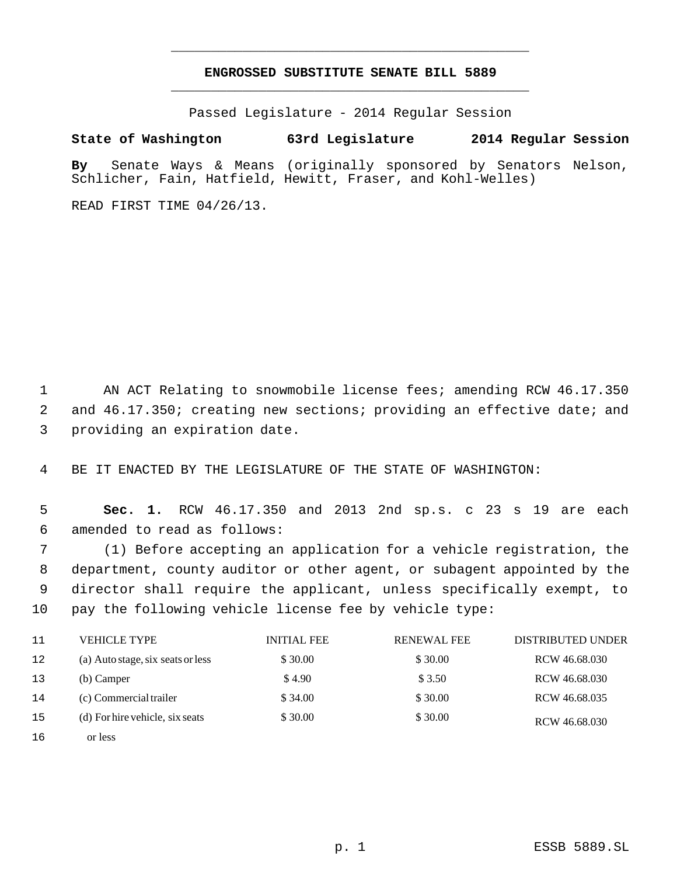## **ENGROSSED SUBSTITUTE SENATE BILL 5889** \_\_\_\_\_\_\_\_\_\_\_\_\_\_\_\_\_\_\_\_\_\_\_\_\_\_\_\_\_\_\_\_\_\_\_\_\_\_\_\_\_\_\_\_\_

\_\_\_\_\_\_\_\_\_\_\_\_\_\_\_\_\_\_\_\_\_\_\_\_\_\_\_\_\_\_\_\_\_\_\_\_\_\_\_\_\_\_\_\_\_

Passed Legislature - 2014 Regular Session

## **State of Washington 63rd Legislature 2014 Regular Session**

**By** Senate Ways & Means (originally sponsored by Senators Nelson, Schlicher, Fain, Hatfield, Hewitt, Fraser, and Kohl-Welles)

READ FIRST TIME 04/26/13.

1 AN ACT Relating to snowmobile license fees; amending RCW 46.17.350 2 and 46.17.350; creating new sections; providing an effective date; and 3 providing an expiration date.

4 BE IT ENACTED BY THE LEGISLATURE OF THE STATE OF WASHINGTON:

 5 **Sec. 1.** RCW 46.17.350 and 2013 2nd sp.s. c 23 s 19 are each 6 amended to read as follows:

 (1) Before accepting an application for a vehicle registration, the department, county auditor or other agent, or subagent appointed by the director shall require the applicant, unless specifically exempt, to pay the following vehicle license fee by vehicle type:

| 11 | <b>VEHICLE TYPE</b>               | <b>INITIAL FEE</b> | <b>RENEWAL FEE</b> | <b>DISTRIBUTED UNDER</b> |
|----|-----------------------------------|--------------------|--------------------|--------------------------|
| 12 | (a) Auto stage, six seats or less | \$30.00            | \$30.00            | RCW 46.68.030            |
| 13 | (b) Camper                        | \$4.90             | \$ 3.50            | RCW 46.68.030            |
| 14 | (c) Commercial trailer            | \$34.00            | \$30.00            | RCW 46.68.035            |
| 15 | (d) For hire vehicle, six seats   | \$30.00            | \$30.00            | RCW 46.68.030            |
| 16 | or less                           |                    |                    |                          |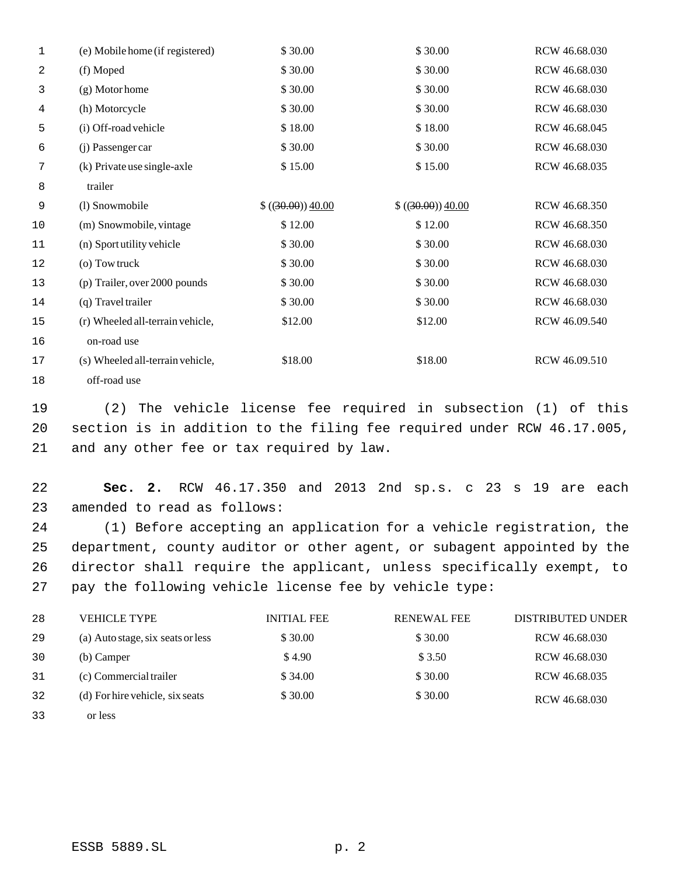| 1  | (e) Mobile home (if registered)  | \$30.00           | \$30.00           | RCW 46.68.030 |
|----|----------------------------------|-------------------|-------------------|---------------|
| 2  | (f) Moped                        | \$30.00           | \$30.00           | RCW 46.68.030 |
| 3  | $(g)$ Motor home                 | \$30.00           | \$30.00           | RCW 46.68.030 |
| 4  | (h) Motorcycle                   | \$30.00           | \$30.00           | RCW 46.68.030 |
| 5  | (i) Off-road vehicle             | \$18.00           | \$18.00           | RCW 46.68.045 |
| 6  | (j) Passenger car                | \$30.00           | \$30.00           | RCW 46.68.030 |
| 7  | (k) Private use single-axle      | \$15.00           | \$15.00           | RCW 46.68.035 |
| 8  | trailer                          |                   |                   |               |
| 9  | (l) Snowmobile                   | \$((30.00)) 40.00 | \$((30.00)) 40.00 | RCW 46.68.350 |
| 10 | (m) Snowmobile, vintage          | \$12.00           | \$12.00           | RCW 46.68.350 |
| 11 | (n) Sport utility vehicle        | \$30.00           | \$30.00           | RCW 46.68.030 |
| 12 | (o) Tow truck                    | \$30.00           | \$30.00           | RCW 46.68.030 |
| 13 | (p) Trailer, over 2000 pounds    | \$30.00           | \$30.00           | RCW 46.68.030 |
| 14 | (q) Travel trailer               | \$30.00           | \$30.00           | RCW 46.68.030 |
| 15 | (r) Wheeled all-terrain vehicle, | \$12.00           | \$12.00           | RCW 46.09.540 |
| 16 | on-road use                      |                   |                   |               |
| 17 | (s) Wheeled all-terrain vehicle, | \$18.00           | \$18.00           | RCW 46.09.510 |
| 18 | off-road use                     |                   |                   |               |

 (2) The vehicle license fee required in subsection (1) of this section is in addition to the filing fee required under RCW 46.17.005, and any other fee or tax required by law.

 **Sec. 2.** RCW 46.17.350 and 2013 2nd sp.s. c 23 s 19 are each amended to read as follows:

 (1) Before accepting an application for a vehicle registration, the department, county auditor or other agent, or subagent appointed by the director shall require the applicant, unless specifically exempt, to pay the following vehicle license fee by vehicle type:

| 28            | VEHICLE TYPE                      | <b>INITIAL FEE</b> | <b>RENEWAL FEE</b> | <b>DISTRIBUTED UNDER</b> |
|---------------|-----------------------------------|--------------------|--------------------|--------------------------|
| 29            | (a) Auto stage, six seats or less | \$30.00            | \$30.00            | RCW 46.68.030            |
| 30            | (b) Camper                        | \$4.90             | \$ 3.50            | RCW 46.68.030            |
| 31            | (c) Commercial trailer            | \$34.00            | \$30.00            | RCW 46.68.035            |
| 32            | (d) For hire vehicle, six seats   | \$30.00            | \$30.00            | RCW 46.68.030            |
| $\sim$ $\sim$ |                                   |                    |                    |                          |

 or less